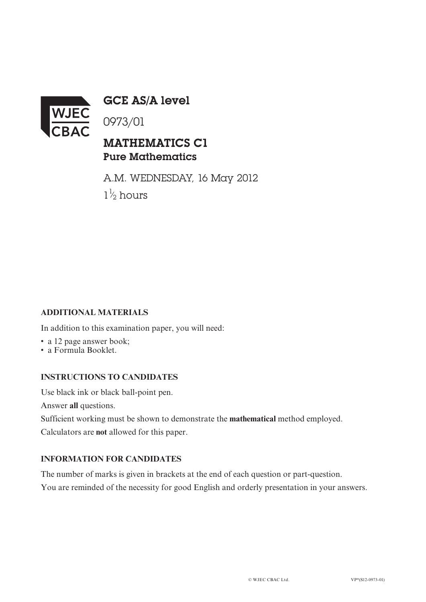

GCE AS/A level

0973/01

## MATHEMATICS C1 Pure Mathematics

A.M. WEDNESDAY, 16 May 2012  $1\frac{1}{2}$  hours ⁄

### **ADDITIONAL MATERIALS**

In addition to this examination paper, you will need:

- a 12 page answer book;
- a Formula Booklet.

#### **INSTRUCTIONS TO CANDIDATES**

Use black ink or black ball-point pen.

Answer **all** questions.

Sufficient working must be shown to demonstrate the **mathematical** method employed.

Calculators are **not** allowed for this paper.

#### **INFORMATION FOR CANDIDATES**

The number of marks is given in brackets at the end of each question or part-question. You are reminded of the necessity for good English and orderly presentation in your answers.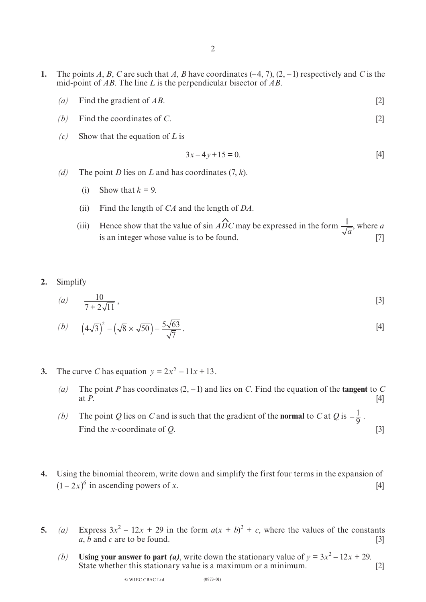- **1.** The points *A*, *B*, *C* are such that *A*, *B* have coordinates (**–**4, 7), (2, **–**1) respectively and *C* is the mid-point of *AB*. The line *L* is the perpendicular bisector of *AB*.
	- *(a)* Find the gradient of *AB*. [2]
	- *(b)* Find the coordinates of *C*. [2]
	- *(c)* Show that the equation of *L* is

$$
3x - 4y + 15 = 0.
$$
 [4]

- *(d)* The point *D* lies on *L* and has coordinates (7, *k*).
	- (i) Show that  $k = 9$ .
	- (ii) Find the length of *CA* and the length of *DA*.
	- (iii) Hence show that the value of sin  $\widehat{ADC}$  may be expressed in the form  $\frac{1}{\sqrt{a}}$ , where *a* is an integer whose value is to be found.  $\sqrt{a}$  [7] *a*  $\hat{\mathcal{L}}$
- **2.** Simplify

(a) 
$$
\frac{10}{7+2\sqrt{11}}
$$
, [3]

(b) 
$$
(4\sqrt{3})^2 - (\sqrt{8} \times \sqrt{50}) - \frac{5\sqrt{63}}{\sqrt{7}}
$$
. [4]

- **3.** The curve *C* has equation  $y = 2x^2 11x + 13$ .
	- *(a)* The point *P* has coordinates  $(2, -1)$  and lies on *C*. Find the equation of the **tangent** to *C* at *P*. at *P*. [4]
	- *(b)* The point *Q* lies on *C* and is such that the gradient of the **normal** to *C* at *Q* is  $-\frac{1}{9}$ . Find the *x*-coordinate of *Q*. [3]
- **4.** Using the binomial theorem, write down and simplify the first four terms in the expansion of  $(1 - 2x)^6$  in ascending powers of *x*. [4]
- **5.** *(a)* Express  $3x^2 12x + 29$  in the form  $a(x + b)^2 + c$ , where the values of the constants  $\overline{a}$ ,  $\overline{b}$  and  $\overline{c}$  are to be found. [3]
	- *(b)* **Using your answer to part** *(a)*, write down the stationary value of  $y = 3x^2 12x + 29$ . State whether this stationary value is a maximum or a minimum. [2]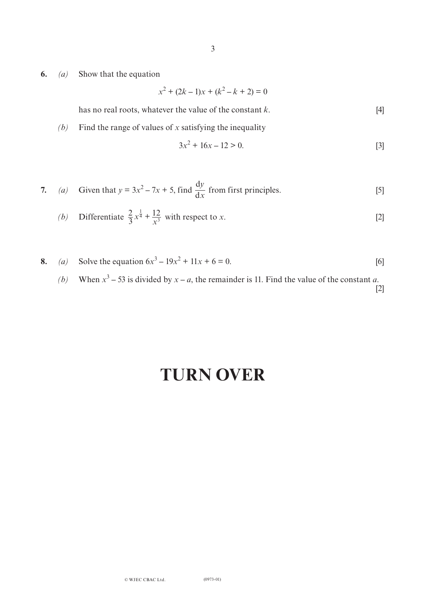**6.** *(a)* Show that the equation

 $x^2 + (2k - 1)x + (k^2 - k + 2) = 0$ 

has no real roots, whatever the value of the constant *k*. [4]

*(b)* Find the range of values of *x* satisfying the inequality

$$
3x^2 + 16x - 12 > 0. \tag{3}
$$

7. (a) Given that 
$$
y = 3x^2 - 7x + 5
$$
, find  $\frac{dy}{dx}$  from first principles. [5]

(b) Differentiate 
$$
\frac{2}{3}x^{\frac{1}{4}} + \frac{12}{x^3}
$$
 with respect to x. [2]

**8.** (a) Solve the equation 
$$
6x^3 - 19x^2 + 11x + 6 = 0
$$
. [6]

*(b)* When  $x^3 - 53$  is divided by  $x - a$ , the remainder is 11. Find the value of the constant *a*. [2]

# **Turn over**